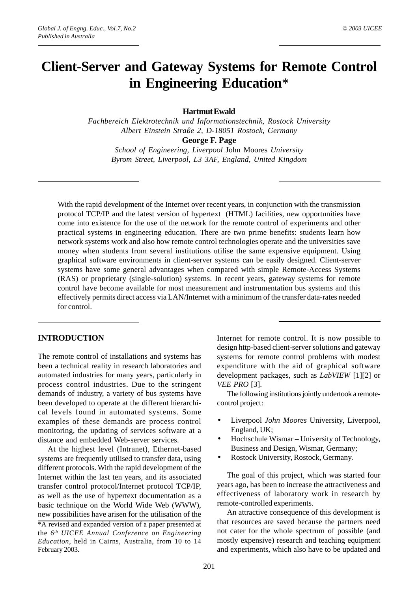# **Client-Server and Gateway Systems for Remote Control in Engineering Education**\*

#### **Hartmut Ewald**

*Fachbereich Elektrotechnik und Informationstechnik, Rostock University Albert Einstein Straße 2, D-18051 Rostock, Germany* **George F. Page**

*School of Engineering, Liverpool* John Moores *University Byrom Street, Liverpool, L3 3AF, England, United Kingdom*

With the rapid development of the Internet over recent years, in conjunction with the transmission protocol TCP/IP and the latest version of hypertext (HTML) facilities, new opportunities have come into existence for the use of the network for the remote control of experiments and other practical systems in engineering education. There are two prime benefits: students learn how network systems work and also how remote control technologies operate and the universities save money when students from several institutions utilise the same expensive equipment. Using graphical software environments in client-server systems can be easily designed. Client-server systems have some general advantages when compared with simple Remote-Access Systems (RAS) or proprietary (single-solution) systems. In recent years, gateway systems for remote control have become available for most measurement and instrumentation bus systems and this effectively permits direct access via LAN/Internet with a minimum of the transfer data-rates needed for control.

### **INTRODUCTION**

The remote control of installations and systems has been a technical reality in research laboratories and automated industries for many years, particularly in process control industries. Due to the stringent demands of industry, a variety of bus systems have been developed to operate at the different hierarchical levels found in automated systems. Some examples of these demands are process control monitoring, the updating of services software at a distance and embedded Web-server services.

At the highest level (Intranet), Ethernet-based systems are frequently utilised to transfer data, using different protocols. With the rapid development of the Internet within the last ten years, and its associated transfer control protocol/Internet protocol TCP/IP, as well as the use of hypertext documentation as a basic technique on the World Wide Web (WWW), new possibilities have arisen for the utilisation of the

\*A revised and expanded version of a paper presented at the *6th UICEE Annual Conference on Engineering Education*, held in Cairns, Australia, from 10 to 14 February 2003.

Internet for remote control. It is now possible to design http-based client-server solutions and gateway systems for remote control problems with modest expenditure with the aid of graphical software development packages, such as *LabVIEW* [1][2] or *VEE PRO* [3].

The following institutions jointly undertook a remotecontrol project:

- Liverpool *John Moores* University, Liverpool, England, UK;
- Hochschule Wismar University of Technology, Business and Design, Wismar, Germany;
- Rostock University, Rostock, Germany.

The goal of this project, which was started four years ago, has been to increase the attractiveness and effectiveness of laboratory work in research by remote-controlled experiments.

An attractive consequence of this development is that resources are saved because the partners need not cater for the whole spectrum of possible (and mostly expensive) research and teaching equipment and experiments, which also have to be updated and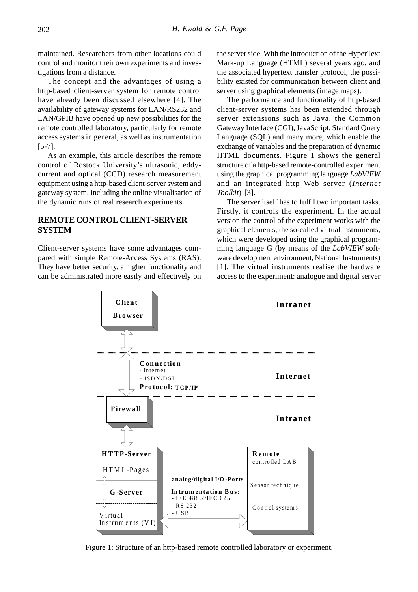maintained. Researchers from other locations could control and monitor their own experiments and investigations from a distance.

The concept and the advantages of using a http-based client-server system for remote control have already been discussed elsewhere [4]. The availability of gateway systems for LAN/RS232 and LAN/GPIB have opened up new possibilities for the remote controlled laboratory, particularly for remote access systems in general, as well as instrumentation [5-7].

As an example, this article describes the remote control of Rostock University's ultrasonic, eddycurrent and optical (CCD) research measurement equipment using a http-based client-server system and gateway system, including the online visualisation of the dynamic runs of real research experiments

## **REMOTE CONTROL CLIENT-SERVER SYSTEM**

Client-server systems have some advantages compared with simple Remote-Access Systems (RAS). They have better security, a higher functionality and can be administrated more easily and effectively on the server side. With the introduction of the HyperText Mark-up Language (HTML) several years ago, and the associated hypertext transfer protocol, the possibility existed for communication between client and server using graphical elements (image maps).

The performance and functionality of http-based client-server systems has been extended through server extensions such as Java, the Common Gateway Interface (CGI), JavaScript, Standard Query Language (SQL) and many more, which enable the exchange of variables and the preparation of dynamic HTML documents. Figure 1 shows the general structure of a http-based remote-controlled experiment using the graphical programming language *LabVIEW* and an integrated http Web server (*Internet Toolkit*) [3].

The server itself has to fulfil two important tasks. Firstly, it controls the experiment. In the actual version the control of the experiment works with the graphical elements, the so-called virtual instruments, which were developed using the graphical programming language G (by means of the *LabVIEW* software development environment, National Instruments) [1]. The virtual instruments realise the hardware access to the experiment: analogue and digital server



Figure 1: Structure of an http-based remote controlled laboratory or experiment.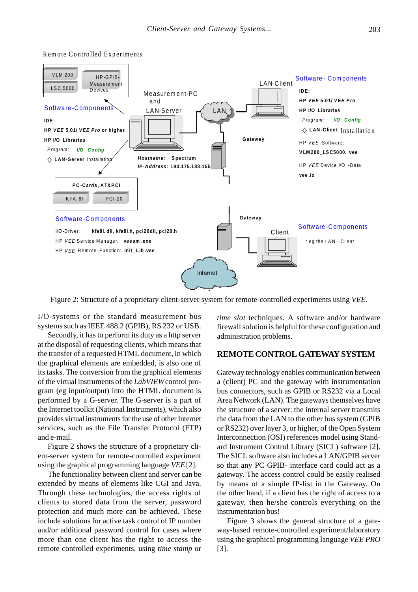

Rem ote Controlled Experiments

Figure 2: Structure of a proprietary client-server system for remote-controlled experiments using *VEE*.

I/O-systems or the standard measurement bus systems such as IEEE 488.2 (GPIB), RS 232 or USB.

Secondly, it has to perform its duty as a http server at the disposal of requesting clients, which means that the transfer of a requested HTML document, in which the graphical elements are embedded, is also one of its tasks. The conversion from the graphical elements of the virtual instruments of the *LabVIEW*control program (eg input/output) into the HTML document is performed by a G-server. The G-server is a part of the Internet toolkit (National Instruments), which also provides virtual instruments for the use of other Internet services, such as the File Transfer Protocol (FTP) and e-mail.

Figure 2 shows the structure of a proprietary client-server system for remote-controlled experiment using the graphical programming language *VEE*[2].

The functionality between client and server can be extended by means of elements like CGI and Java. Through these technologies, the access rights of clients to stored data from the server, password protection and much more can be achieved. These include solutions for active task control of IP number and/or additional password control for cases where more than one client has the right to access the remote controlled experiments, using *time stamp* or *time slot* techniques. A software and/or hardware firewall solution is helpful for these configuration and administration problems.

#### **REMOTE CONTROL GATEWAY SYSTEM**

Gateway technology enables communication between a (client) PC and the gateway with instrumentation bus connectors, such as GPIB or RS232 via a Local Area Network (LAN). The gateways themselves have the structure of a server: the internal server transmits the data from the LAN to the other bus system (GPIB or RS232) over layer 3, or higher, of the Open System Interconnection (OSI) references model using Standard Instrument Control Library (SICL) software [2]. The SICL software also includes a LAN/GPIB server so that any PC GPIB- interface card could act as a gateway. The access control could be easily realised by means of a simple IP-list in the Gateway. On the other hand, if a client has the right of access to a gateway, then he/she controls everything on the instrumentation bus!

Figure 3 shows the general structure of a gateway-based remote-controlled experiment/laboratory using the graphical programming language *VEE PRO* [3].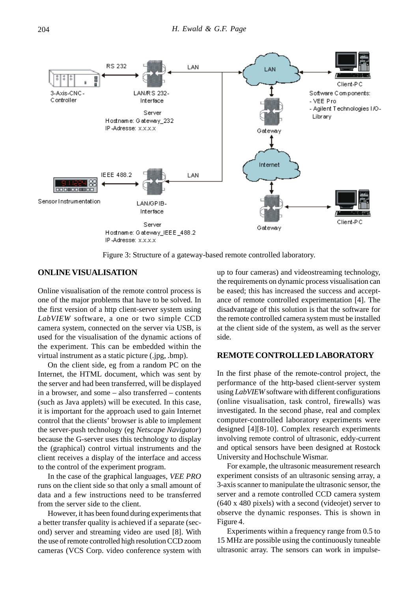

Figure 3: Structure of a gateway-based remote controlled laboratory.

#### **ONLINE VISUALISATION**

Online visualisation of the remote control process is one of the major problems that have to be solved. In the first version of a http client-server system using *LabVIEW* software, a one or two simple CCD camera system, connected on the server via USB, is used for the visualisation of the dynamic actions of the experiment. This can be embedded within the virtual instrument as a static picture (.jpg, .bmp).

On the client side, eg from a random PC on the Internet, the HTML document, which was sent by the server and had been transferred, will be displayed in a browser, and some – also transferred – contents (such as Java applets) will be executed. In this case, it is important for the approach used to gain Internet control that the clients' browser is able to implement the server-push technology (eg *Netscape Navigator*) because the G-server uses this technology to display the (graphical) control virtual instruments and the client receives a display of the interface and access to the control of the experiment program.

In the case of the graphical languages, *VEE PRO* runs on the client side so that only a small amount of data and a few instructions need to be transferred from the server side to the client.

However, it has been found during experiments that a better transfer quality is achieved if a separate (second) server and streaming video are used [8]. With the use of remote controlled high resolution CCD zoom cameras (VCS Corp. video conference system with up to four cameras) and videostreaming technology, the requirements on dynamic process visualisation can be eased; this has increased the success and acceptance of remote controlled experimentation [4]. The disadvantage of this solution is that the software for the remote controlled camera system must be installed at the client side of the system, as well as the server side.

#### **REMOTE CONTROLLED LABORATORY**

In the first phase of the remote-control project, the performance of the http-based client-server system using *LabVIEW* software with different configurations (online visualisation, task control, firewalls) was investigated. In the second phase, real and complex computer-controlled laboratory experiments were designed [4][8-10]. Complex research experiments involving remote control of ultrasonic, eddy-current and optical sensors have been designed at Rostock University and Hochschule Wismar.

For example, the ultrasonic measurement research experiment consists of an ultrasonic sensing array, a 3-axis scanner to manipulate the ultrasonic sensor, the server and a remote controlled CCD camera system (640 x 480 pixels) with a second (videojet) server to observe the dynamic responses. This is shown in Figure 4.

Experiments within a frequency range from 0.5 to 15 MHz are possible using the continuously tuneable ultrasonic array. The sensors can work in impulse-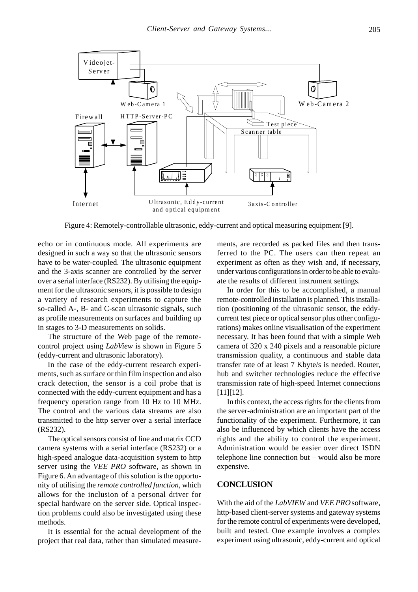

Figure 4: Remotely-controllable ultrasonic, eddy-current and optical measuring equipment [9].

echo or in continuous mode. All experiments are designed in such a way so that the ultrasonic sensors have to be water-coupled. The ultrasonic equipment and the 3-axis scanner are controlled by the server over a serial interface (RS232). By utilising the equipment for the ultrasonic sensors, it is possible to design a variety of research experiments to capture the so-called A-, B- and C-scan ultrasonic signals, such as profile measurements on surfaces and building up in stages to 3-D measurements on solids.

The structure of the Web page of the remotecontrol project using *LabView* is shown in Figure 5 (eddy-current and ultrasonic laboratory).

In the case of the eddy-current research experiments, such as surface or thin film inspection and also crack detection, the sensor is a coil probe that is connected with the eddy-current equipment and has a frequency operation range from 10 Hz to 10 MHz. The control and the various data streams are also transmitted to the http server over a serial interface (RS232).

The optical sensors consist of line and matrix CCD camera systems with a serial interface (RS232) or a high-speed analogue data-acquisition system to http server using the *VEE PRO* software, as shown in Figure 6. An advantage of this solution is the opportunity of utilising the *remote controlled function*, which allows for the inclusion of a personal driver for special hardware on the server side. Optical inspection problems could also be investigated using these methods.

It is essential for the actual development of the project that real data, rather than simulated measure-

ments, are recorded as packed files and then transferred to the PC. The users can then repeat an experiment as often as they wish and, if necessary, under various configurations in order to be able to evaluate the results of different instrument settings.

In order for this to be accomplished, a manual remote-controlled installation is planned. This installation (positioning of the ultrasonic sensor, the eddycurrent test piece or optical sensor plus other configurations) makes online visualisation of the experiment necessary. It has been found that with a simple Web camera of 320 x 240 pixels and a reasonable picture transmission quality, a continuous and stable data transfer rate of at least 7 Kbyte/s is needed. Router, hub and switcher technologies reduce the effective transmission rate of high-speed Internet connections [11][12].

In this context, the access rights for the clients from the server-administration are an important part of the functionality of the experiment. Furthermore, it can also be influenced by which clients have the access rights and the ability to control the experiment. Administration would be easier over direct ISDN telephone line connection but – would also be more expensive.

### **CONCLUSION**

With the aid of the *LabVIEW* and *VEE PRO*software, http-based client-server systems and gateway systems for the remote control of experiments were developed, built and tested. One example involves a complex experiment using ultrasonic, eddy-current and optical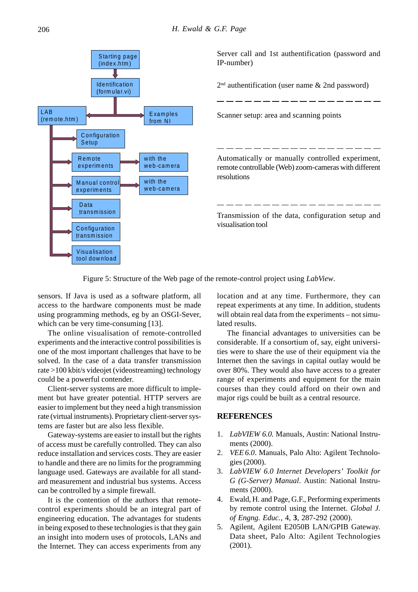

Server call and 1st authentification (password and IP-number)

 $2<sup>nd</sup>$  authentification (user name & 2nd password)

Scanner setup: area and scanning points

Automatically or manually controlled experiment, remote controllable (Web) zoom-cameras with different resolutions

Transmission of the data, configuration setup and visualisation tool

Figure 5: Structure of the Web page of the remote-control project using *LabView*.

sensors. If Java is used as a software platform, all access to the hardware components must be made using programming methods, eg by an OSGI-Sever, which can be very time-consuming [13].

The online visualisation of remote-controlled experiments and the interactive control possibilities is one of the most important challenges that have to be solved. In the case of a data transfer transmission rate >100 kbit/s videojet (videostreaming) technology could be a powerful contender.

Client-server systems are more difficult to implement but have greater potential. HTTP servers are easier to implement but they need a high transmission rate (virtual instruments). Proprietary client-server systems are faster but are also less flexible.

Gateway-systems are easier to install but the rights of access must be carefully controlled. They can also reduce installation and services costs. They are easier to handle and there are no limits for the programming language used. Gateways are available for all standard measurement and industrial bus systems. Access can be controlled by a simple firewall.

It is the contention of the authors that remotecontrol experiments should be an integral part of engineering education. The advantages for students in being exposed to these technologies is that they gain an insight into modern uses of protocols, LANs and the Internet. They can access experiments from any location and at any time. Furthermore, they can repeat experiments at any time. In addition, students will obtain real data from the experiments – not simulated results.

The financial advantages to universities can be considerable. If a consortium of, say, eight universities were to share the use of their equipment via the Internet then the savings in capital outlay would be over 80%. They would also have access to a greater range of experiments and equipment for the main courses than they could afford on their own and major rigs could be built as a central resource.

#### **REFERENCES**

- 1. *LabVIEW 6.0.* Manuals, Austin: National Instruments (2000).
- 2. *VEE6.0*. Manuals, Palo Alto: Agilent Technologies (2000).
- 3. *LabVIEW 6.0 Internet Developers' Toolkit for G (G-Server) Manual*. Austin: National Instruments (2000).
- 4. Ewald, H. and Page, G.F., Performing experiments by remote control using the Internet. *Global J. of Engng. Educ.*, 4, **3**, 287-292 (2000).
- 5. Agilent, Agilent E2050B LAN/GPIB Gateway. Data sheet, Palo Alto: Agilent Technologies (2001).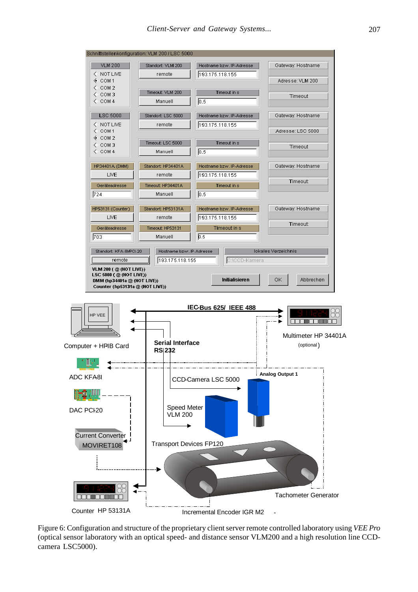

Figure 6: Configuration and structure of the proprietary client server remote controlled laboratory using *VEE Pro* (optical sensor laboratory with an optical speed- and distance sensor VLM200 and a high resolution line CCDcamera LSC5000).